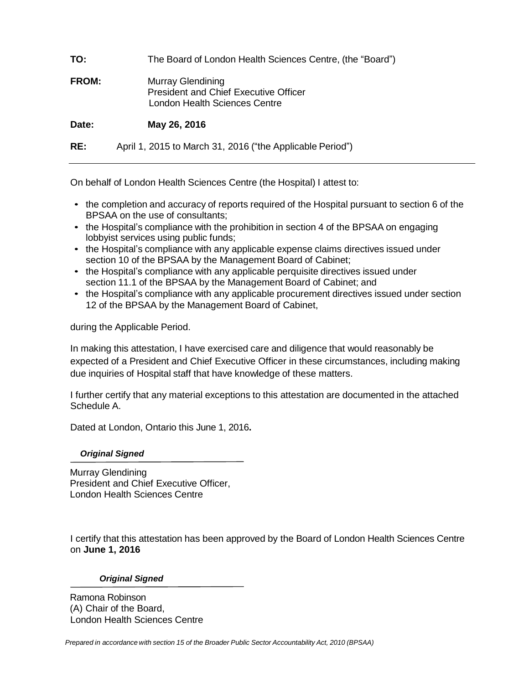| TO:          | The Board of London Health Sciences Centre, (the "Board")                                          |
|--------------|----------------------------------------------------------------------------------------------------|
| <b>FROM:</b> | Murray Glendining<br><b>President and Chief Executive Officer</b><br>London Health Sciences Centre |
| Date:        | May 26, 2016                                                                                       |
| RE:          | April 1, 2015 to March 31, 2016 ("the Applicable Period")                                          |

On behalf of London Health Sciences Centre (the Hospital) I attest to:

- the completion and accuracy of reports required of the Hospital pursuant to section 6 of the BPSAA on the use of consultants;
- the Hospital's compliance with the prohibition in section 4 of the BPSAA on engaging lobbyist services using public funds;
- the Hospital's compliance with any applicable expense claims directives issued under section 10 of the BPSAA by the Management Board of Cabinet;
- the Hospital's compliance with any applicable perquisite directives issued under section 11.1 of the BPSAA by the Management Board of Cabinet; and
- the Hospital's compliance with any applicable procurement directives issued under section 12 of the BPSAA by the Management Board of Cabinet,

during the Applicable Period.

In making this attestation, I have exercised care and diligence that would reasonably be expected of a President and Chief Executive Officer in these circumstances, including making due inquiries of Hospital staff that have knowledge of these matters.

I further certify that any material exceptions to this attestation are documented in the attached Schedule A.

Dated at London, Ontario this June 1, 2016**.**

 *Original Signed*

Murray Glendining President and Chief Executive Officer, London Health Sciences Centre

I certify that this attestation has been approved by the Board of London Health Sciences Centre on **June 1, 2016**

## *Original Signed*

Ramona Robinson (A) Chair of the Board, London Health Sciences Centre